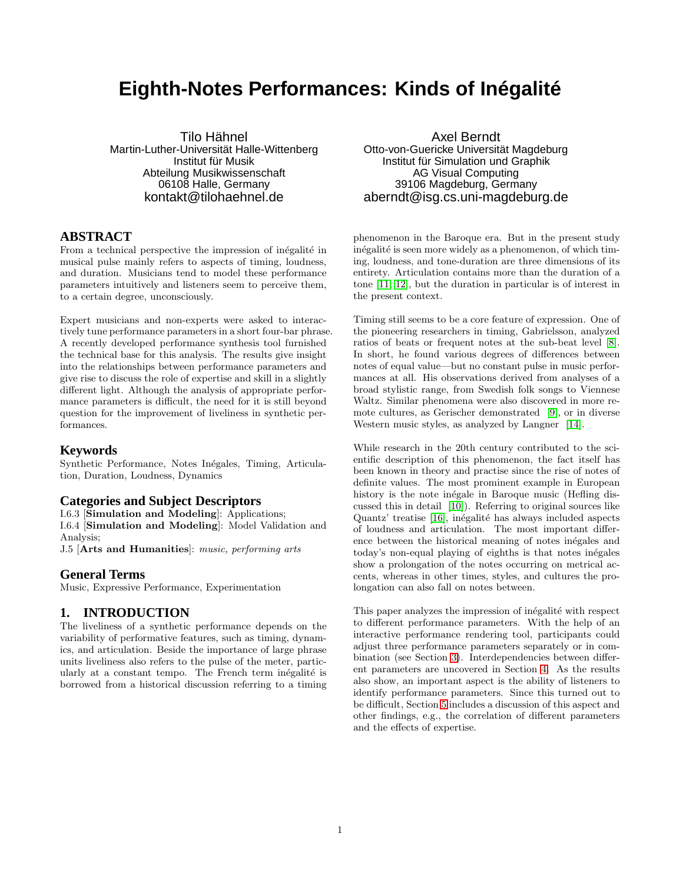# **Eighth-Notes Performances: Kinds of Inégalité**

Tilo Hähnel Martin-Luther-Universität Halle-Wittenberg Institut für Musik Abteilung Musikwissenschaft 06108 Halle, Germany kontakt@tilohaehnel.de

## **ABSTRACT**

From a technical perspective the impression of inégalité in musical pulse mainly refers to aspects of timing, loudness, and duration. Musicians tend to model these performance parameters intuitively and listeners seem to perceive them, to a certain degree, unconsciously.

Expert musicians and non-experts were asked to interactively tune performance parameters in a short four-bar phrase. A recently developed performance synthesis tool furnished the technical base for this analysis. The results give insight into the relationships between performance parameters and give rise to discuss the role of expertise and skill in a slightly different light. Although the analysis of appropriate performance parameters is difficult, the need for it is still beyond question for the improvement of liveliness in synthetic performances.

## **Keywords**

Synthetic Performance, Notes Inégales, Timing, Articulation, Duration, Loudness, Dynamics

#### **Categories and Subject Descriptors**

I.6.3 [**Simulation and Modeling**]: Applications; I.6.4 [**Simulation and Modeling**]: Model Validation and Analysis;

J.5 [**Arts and Humanities**]: *music, performing arts*

#### **General Terms**

Music, Expressive Performance, Experimentation

## **1. INTRODUCTION**

The liveliness of a synthetic performance depends on the variability of performative features, such as timing, dynamics, and articulation. Beside the importance of large phrase units liveliness also refers to the pulse of the meter, particularly at a constant tempo. The French term inégalité is borrowed from a historical discussion referring to a timing

Axel Berndt Otto-von-Guericke Universität Magdeburg Institut für Simulation und Graphik AG Visual Computing 39106 Magdeburg, Germany aberndt@isg.cs.uni-magdeburg.de

phenomenon in the Baroque era. But in the present study inégalité is seen more widely as a phenomenon, of which timing, loudness, and tone-duration are three dimensions of its entirety. Articulation contains more than the duration of a tone [\[11,](#page-6-0) [12\]](#page-6-1), but the duration in particular is of interest in the present context.

Timing still seems to be a core feature of expression. One of the pioneering researchers in timing, Gabrielsson, analyzed ratios of beats or frequent notes at the sub-beat level [\[8\]](#page-6-2). In short, he found various degrees of differences between notes of equal value—but no constant pulse in music performances at all. His observations derived from analyses of a broad stylistic range, from Swedish folk songs to Viennese Waltz. Similar phenomena were also discovered in more remote cultures, as Gerischer demonstrated [\[9\]](#page-6-3), or in diverse Western music styles, as analyzed by Langner [\[14\]](#page-6-4).

While research in the 20th century contributed to the scientific description of this phenomenon, the fact itself has been known in theory and practise since the rise of notes of definite values. The most prominent example in European history is the note inégale in Baroque music (Hefling discussed this in detail [\[10\]](#page-6-5)). Referring to original sources like Quantz' treatise [\[16\]](#page-6-6), inégalité has always included aspects of loudness and articulation. The most important difference between the historical meaning of notes inégales and today's non-equal playing of eighths is that notes inégales show a prolongation of the notes occurring on metrical accents, whereas in other times, styles, and cultures the prolongation can also fall on notes between.

This paper analyzes the impression of inégalité with respect to different performance parameters. With the help of an interactive performance rendering tool, participants could adjust three performance parameters separately or in combination (see Section [3\)](#page-1-0). Interdependencies between different parameters are uncovered in Section [4.](#page-3-0) As the results also show, an important aspect is the ability of listeners to identify performance parameters. Since this turned out to be difficult, Section [5](#page-5-0) includes a discussion of this aspect and other findings, e.g., the correlation of different parameters and the effects of expertise.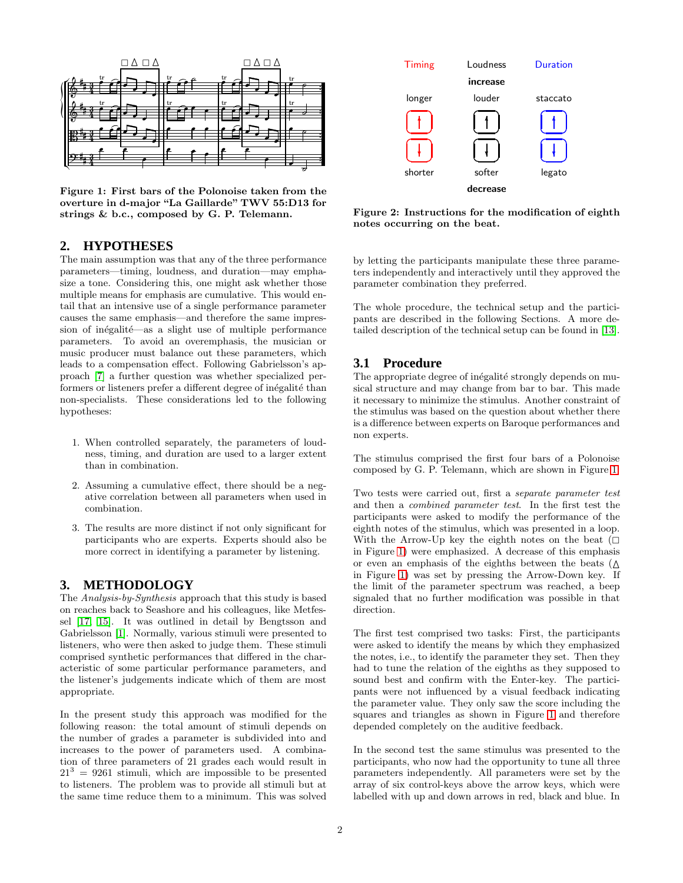

<span id="page-1-1"></span>**Figure 1: First bars of the Polonoise taken from the overture in d-major "La Gaillarde" TWV 55:D13 for strings & b.c., composed by G. P. Telemann.**

## **2. HYPOTHESES**

The main assumption was that any of the three performance parameters—timing, loudness, and duration—may emphasize a tone. Considering this, one might ask whether those multiple means for emphasis are cumulative. This would entail that an intensive use of a single performance parameter causes the same emphasis—and therefore the same impression of inégalité—as a slight use of multiple performance parameters. To avoid an overemphasis, the musician or music producer must balance out these parameters, which leads to a compensation effect. Following Gabrielsson's approach [\[7\]](#page-6-7) a further question was whether specialized performers or listeners prefer a different degree of inégalité than non-specialists. These considerations led to the following hypotheses:

- 1. When controlled separately, the parameters of loudness, timing, and duration are used to a larger extent than in combination.
- 2. Assuming a cumulative effect, there should be a negative correlation between all parameters when used in combination.
- 3. The results are more distinct if not only significant for participants who are experts. Experts should also be more correct in identifying a parameter by listening.

## <span id="page-1-0"></span>**3. METHODOLOGY**

The *Analysis-by-Synthesis* approach that this study is based on reaches back to Seashore and his colleagues, like Metfessel [\[17,](#page-6-8) [15\]](#page-6-9). It was outlined in detail by Bengtsson and Gabrielsson [\[1\]](#page-6-10). Normally, various stimuli were presented to listeners, who were then asked to judge them. These stimuli comprised synthetic performances that differed in the characteristic of some particular performance parameters, and the listener's judgements indicate which of them are most appropriate.

In the present study this approach was modified for the following reason: the total amount of stimuli depends on the number of grades a parameter is subdivided into and increases to the power of parameters used. A combination of three parameters of 21 grades each would result in  $21<sup>3</sup> = 9261$  stimuli, which are impossible to be presented to listeners. The problem was to provide all stimuli but at the same time reduce them to a minimum. This was solved



<span id="page-1-2"></span>**Figure 2: Instructions for the modification of eighth notes occurring on the beat.**

by letting the participants manipulate these three parameters independently and interactively until they approved the parameter combination they preferred.

The whole procedure, the technical setup and the participants are described in the following Sections. A more detailed description of the technical setup can be found in [\[13\]](#page-6-11).

## **3.1 Procedure**

The appropriate degree of inégalité strongly depends on musical structure and may change from bar to bar. This made it necessary to minimize the stimulus. Another constraint of the stimulus was based on the question about whether there is a difference between experts on Baroque performances and non experts.

The stimulus comprised the first four bars of a Polonoise composed by G. P. Telemann, which are shown in Figure [1.](#page-1-1)

Two tests were carried out, first a *separate parameter test* and then a *combined parameter test*. In the first test the participants were asked to modify the performance of the eighth notes of the stimulus, which was presented in a loop. With the Arrow-Up key the eighth notes on the beat  $(\Box$ in Figure [1\)](#page-1-1) were emphasized. A decrease of this emphasis or even an emphasis of the eighths between the beats  $(\Delta)$ in Figure [1\)](#page-1-1) was set by pressing the Arrow-Down key. If the limit of the parameter spectrum was reached, a beep signaled that no further modification was possible in that direction.

The first test comprised two tasks: First, the participants were asked to identify the means by which they emphasized the notes, i.e., to identify the parameter they set. Then they had to tune the relation of the eighths as they supposed to sound best and confirm with the Enter-key. The participants were not influenced by a visual feedback indicating the parameter value. They only saw the score including the squares and triangles as shown in Figure [1](#page-1-1) and therefore depended completely on the auditive feedback.

In the second test the same stimulus was presented to the participants, who now had the opportunity to tune all three parameters independently. All parameters were set by the array of six control-keys above the arrow keys, which were labelled with up and down arrows in red, black and blue. In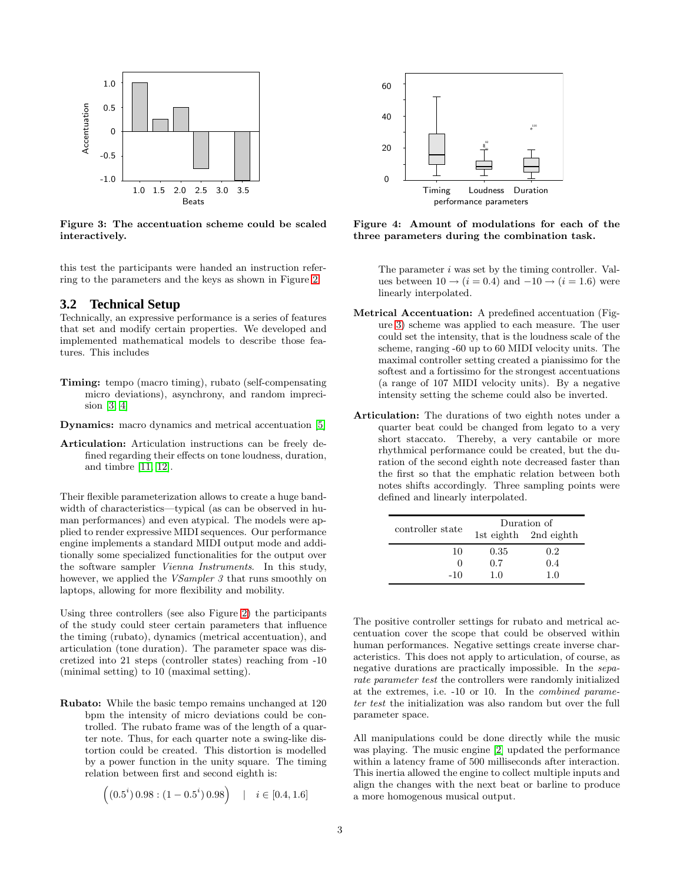

<span id="page-2-0"></span>**Figure 3: The accentuation scheme could be scaled interactively.**

this test the participants were handed an instruction referring to the parameters and the keys as shown in Figure [2.](#page-1-2)

#### **3.2 Technical Setup**

Technically, an expressive performance is a series of features that set and modify certain properties. We developed and implemented mathematical models to describe those features. This includes

- **Timing:** tempo (macro timing), rubato (self-compensating micro deviations), asynchrony, and random imprecision [\[3,](#page-6-12) [4\]](#page-6-13)
- **Dynamics:** macro dynamics and metrical accentuation [\[5\]](#page-6-14)
- **Articulation:** Articulation instructions can be freely defined regarding their effects on tone loudness, duration, and timbre [\[11,](#page-6-0) [12\]](#page-6-1).

Their flexible parameterization allows to create a huge bandwidth of characteristics—typical (as can be observed in human performances) and even atypical. The models were applied to render expressive MIDI sequences. Our performance engine implements a standard MIDI output mode and additionally some specialized functionalities for the output over the software sampler *Vienna Instruments*. In this study, however, we applied the *VSampler 3* that runs smoothly on laptops, allowing for more flexibility and mobility.

Using three controllers (see also Figure [2\)](#page-1-2) the participants of the study could steer certain parameters that influence the timing (rubato), dynamics (metrical accentuation), and articulation (tone duration). The parameter space was discretized into 21 steps (controller states) reaching from -10 (minimal setting) to 10 (maximal setting).

**Rubato:** While the basic tempo remains unchanged at 120 bpm the intensity of micro deviations could be controlled. The rubato frame was of the length of a quarter note. Thus, for each quarter note a swing-like distortion could be created. This distortion is modelled by a power function in the unity square. The timing relation between first and second eighth is:

$$
\left( (0.5^i) \, 0.98 : (1 - 0.5^i) \, 0.98 \right) \quad | \quad i \in [0.4, 1.6]
$$



**Figure 4: Amount of modulations for each of the three parameters during the combination task.**

<span id="page-2-1"></span>The parameter i was set by the timing controller. Values between  $10 \rightarrow (i = 0.4)$  and  $-10 \rightarrow (i = 1.6)$  were linearly interpolated.

- **Metrical Accentuation:** A predefined accentuation (Figure [3\)](#page-2-0) scheme was applied to each measure. The user could set the intensity, that is the loudness scale of the scheme, ranging -60 up to 60 MIDI velocity units. The maximal controller setting created a pianissimo for the softest and a fortissimo for the strongest accentuations (a range of 107 MIDI velocity units). By a negative intensity setting the scheme could also be inverted.
- **Articulation:** The durations of two eighth notes under a quarter beat could be changed from legato to a very short staccato. Thereby, a very cantabile or more rhythmical performance could be created, but the duration of the second eighth note decreased faster than the first so that the emphatic relation between both notes shifts accordingly. Three sampling points were defined and linearly interpolated.

| controller state | Duration of |                       |  |  |
|------------------|-------------|-----------------------|--|--|
|                  |             | 1st eighth 2nd eighth |  |  |
| 10               | 0.35        | 0.2                   |  |  |
| $\mathbf{0}$     | 0.7         | 0.4                   |  |  |
| -10              | 1.0         | 1.0                   |  |  |

The positive controller settings for rubato and metrical accentuation cover the scope that could be observed within human performances. Negative settings create inverse characteristics. This does not apply to articulation, of course, as negative durations are practically impossible. In the *separate parameter test* the controllers were randomly initialized at the extremes, i.e. -10 or 10. In the *combined parameter test* the initialization was also random but over the full parameter space.

All manipulations could be done directly while the music was playing. The music engine [\[2\]](#page-6-15) updated the performance within a latency frame of 500 milliseconds after interaction. This inertia allowed the engine to collect multiple inputs and align the changes with the next beat or barline to produce a more homogenous musical output.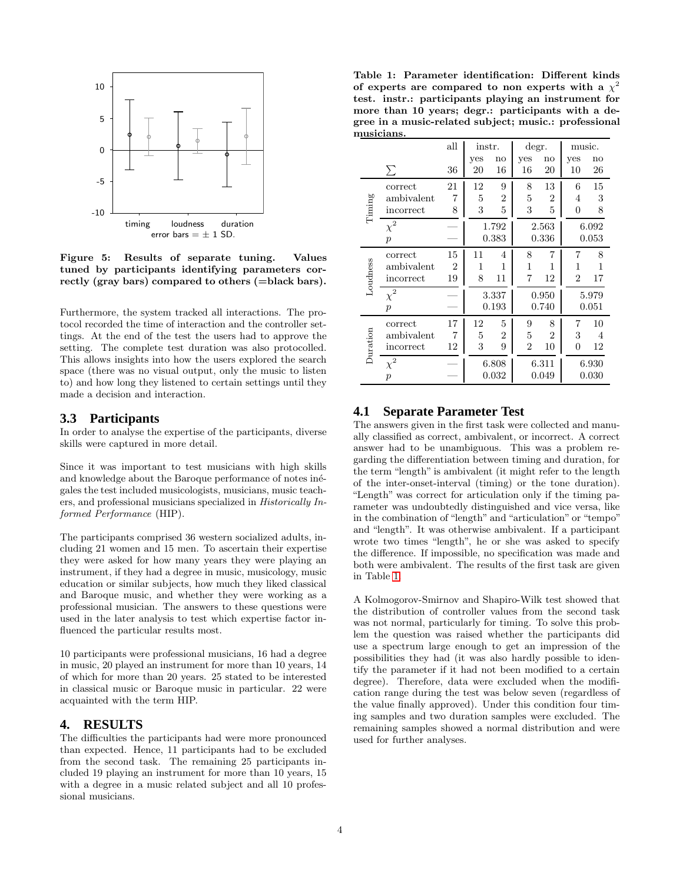

<span id="page-3-2"></span>**Figure 5: Results of separate tuning. Values tuned by participants identifying parameters correctly (gray bars) compared to others (=black bars).**

Furthermore, the system tracked all interactions. The protocol recorded the time of interaction and the controller settings. At the end of the test the users had to approve the setting. The complete test duration was also protocolled. This allows insights into how the users explored the search space (there was no visual output, only the music to listen to) and how long they listened to certain settings until they made a decision and interaction.

## **3.3 Participants**

In order to analyse the expertise of the participants, diverse skills were captured in more detail.

Since it was important to test musicians with high skills and knowledge about the Baroque performance of notes inégales the test included musicologists, musicians, music teachers, and professional musicians specialized in *Historically Informed Performance* (HIP).

The participants comprised 36 western socialized adults, including 21 women and 15 men. To ascertain their expertise they were asked for how many years they were playing an instrument, if they had a degree in music, musicology, music education or similar subjects, how much they liked classical and Baroque music, and whether they were working as a professional musician. The answers to these questions were used in the later analysis to test which expertise factor influenced the particular results most.

10 participants were professional musicians, 16 had a degree in music, 20 played an instrument for more than 10 years, 14 of which for more than 20 years. 25 stated to be interested in classical music or Baroque music in particular. 22 were acquainted with the term HIP.

#### <span id="page-3-0"></span>**4. RESULTS**

The difficulties the participants had were more pronounced than expected. Hence, 11 participants had to be excluded from the second task. The remaining 25 participants included 19 playing an instrument for more than 10 years, 15 with a degree in a music related subject and all 10 professional musicians.

<span id="page-3-1"></span>**Table 1: Parameter identification: Different kinds** of experts are compared to non experts with a  $\chi^2$ **test. instr.: participants playing an instrument for more than 10 years; degr.: participants with a degree in a music-related subject; music.: professional musicians.**

|          | 11u51u1a115.     | all            | instr. |                | degr. |                | music.         |    |
|----------|------------------|----------------|--------|----------------|-------|----------------|----------------|----|
|          |                  |                | yes    | no             | yes   | no             | yes            | no |
|          | Σ                | 36             | 20     | 16             | 16    | 20             | 10             | 26 |
| Timing   | correct          | 21             | 12     | 9              | 8     | 13             | 6              | 15 |
|          | ambivalent       | 7              | 5      | $\overline{2}$ | 5     | 2              | 4              | 3  |
|          | incorrect        | 8              | 3      | $\overline{5}$ | 3     | 5              | 0              | 8  |
|          | $\chi^2$         |                | 1.792  |                | 2.563 |                | 6.092          |    |
|          | $\boldsymbol{p}$ |                | 0.383  |                | 0.336 |                | 0.053          |    |
| Loudness | correct          | 15             | 11     | 4              | 8     | 7              | 7              | 8  |
|          | ambivalent       | $\overline{2}$ | 1      | 1              | 1     | 1              | 1              | 1  |
|          | incorrect        | 19             | 8      | 11             | 7     | 12             | $\overline{2}$ | 17 |
|          | $\chi^2$         |                | 3.337  |                | 0.950 |                | 5.979          |    |
|          | $\boldsymbol{p}$ |                | 0.193  |                | 0.740 |                | 0.051          |    |
| Duration | correct          | 17             | 12     | 5              | 9     | 8              | 7              | 10 |
|          | ambivalent       | 7              | 5      | $\overline{2}$ | 5     | $\overline{2}$ | 3              | 4  |
|          | incorrect        | 12             | 3      | 9              | 2     | 10             | 0              | 12 |
|          | $\chi^2$         |                | 6.808  |                | 6.311 |                | 6.930          |    |
|          | $\boldsymbol{p}$ |                | 0.032  |                | 0.049 |                | 0.030          |    |

## **4.1 Separate Parameter Test**

The answers given in the first task were collected and manually classified as correct, ambivalent, or incorrect. A correct answer had to be unambiguous. This was a problem regarding the differentiation between timing and duration, for the term "length" is ambivalent (it might refer to the length of the inter-onset-interval (timing) or the tone duration). "Length" was correct for articulation only if the timing parameter was undoubtedly distinguished and vice versa, like in the combination of "length" and "articulation" or "tempo" and "length". It was otherwise ambivalent. If a participant wrote two times "length", he or she was asked to specify the difference. If impossible, no specification was made and both were ambivalent. The results of the first task are given in Table [1.](#page-3-1)

A Kolmogorov-Smirnov and Shapiro-Wilk test showed that the distribution of controller values from the second task was not normal, particularly for timing. To solve this problem the question was raised whether the participants did use a spectrum large enough to get an impression of the possibilities they had (it was also hardly possible to identify the parameter if it had not been modified to a certain degree). Therefore, data were excluded when the modification range during the test was below seven (regardless of the value finally approved). Under this condition four timing samples and two duration samples were excluded. The remaining samples showed a normal distribution and were used for further analyses.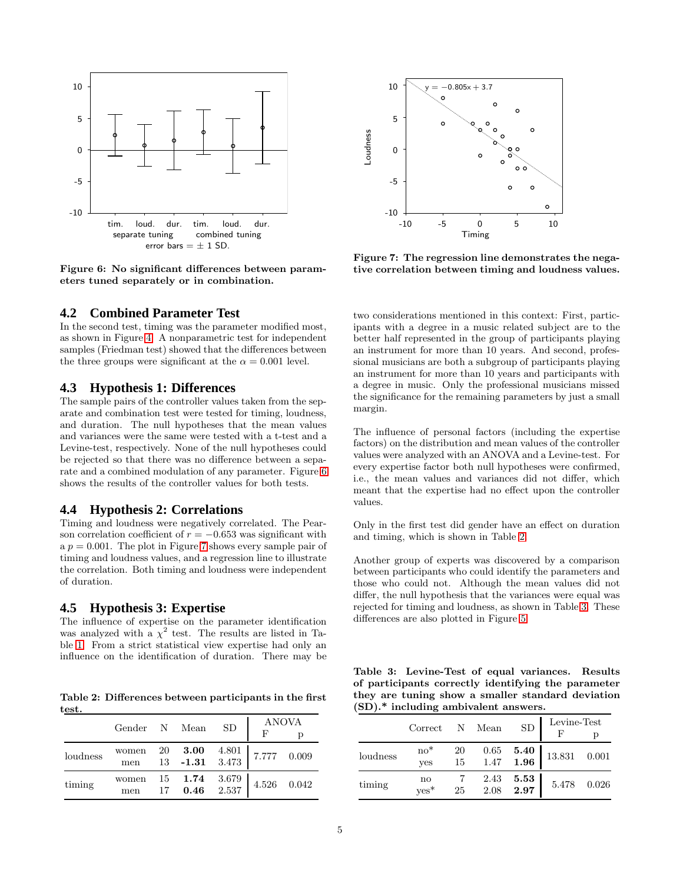

<span id="page-4-0"></span>**Figure 6: No significant differences between parameters tuned separately or in combination.**

## **4.2 Combined Parameter Test**

In the second test, timing was the parameter modified most, as shown in Figure [4.](#page-2-1) A nonparametric test for independent samples (Friedman test) showed that the differences between the three groups were significant at the  $\alpha = 0.001$  level.

#### **4.3 Hypothesis 1: Differences**

The sample pairs of the controller values taken from the separate and combination test were tested for timing, loudness, and duration. The null hypotheses that the mean values and variances were the same were tested with a t-test and a Levine-test, respectively. None of the null hypotheses could be rejected so that there was no difference between a separate and a combined modulation of any parameter. Figure [6](#page-4-0) shows the results of the controller values for both tests.

#### **4.4 Hypothesis 2: Correlations**

Timing and loudness were negatively correlated. The Pearson correlation coefficient of  $r = -0.653$  was significant with a  $p = 0.001$ . The plot in Figure [7](#page-4-1) shows every sample pair of timing and loudness values, and a regression line to illustrate the correlation. Both timing and loudness were independent of duration.

#### **4.5 Hypothesis 3: Expertise**

The influence of expertise on the parameter identification was analyzed with a  $\chi^2$  test. The results are listed in Table [1.](#page-3-1) From a strict statistical view expertise had only an influence on the identification of duration. There may be

**Table 2: Differences between participants in the first test.**

<span id="page-4-2"></span>

|          | Gender N Mean SD                                                                                                                                       |                                                                                                                        | <b>ANOVA</b> |  |
|----------|--------------------------------------------------------------------------------------------------------------------------------------------------------|------------------------------------------------------------------------------------------------------------------------|--------------|--|
| loudness | $\begin{tabular}{lllllll} \text{women} & 20 & \textbf{3.00} & 4.801 & & & \\ \text{men} & 13 & \textbf{-1.31} & 3.473 & & 7.777 & 0.009 \end{tabular}$ |                                                                                                                        |              |  |
| timing   | women<br>men                                                                                                                                           | $\begin{array}{ c c c c }\n 15 & \textbf{1.74} & \textbf{3.679} \\ 17 & \textbf{0.46} & \textbf{2.537} \\ \end{array}$ | 4.526 0.042  |  |



<span id="page-4-1"></span>**Figure 7: The regression line demonstrates the negative correlation between timing and loudness values.**

two considerations mentioned in this context: First, participants with a degree in a music related subject are to the better half represented in the group of participants playing an instrument for more than 10 years. And second, professional musicians are both a subgroup of participants playing an instrument for more than 10 years and participants with a degree in music. Only the professional musicians missed the significance for the remaining parameters by just a small margin.

The influence of personal factors (including the expertise factors) on the distribution and mean values of the controller values were analyzed with an ANOVA and a Levine-test. For every expertise factor both null hypotheses were confirmed, i.e., the mean values and variances did not differ, which meant that the expertise had no effect upon the controller values.

Only in the first test did gender have an effect on duration and timing, which is shown in Table [2.](#page-4-2)

Another group of experts was discovered by a comparison between participants who could identify the parameters and those who could not. Although the mean values did not differ, the null hypothesis that the variances were equal was rejected for timing and loudness, as shown in Table [3.](#page-4-3) These differences are also plotted in Figure [5.](#page-3-2)

<span id="page-4-3"></span>**Table 3: Levine-Test of equal variances. Results of participants correctly identifying the parameter they are tuning show a smaller standard deviation (SD).\* including ambivalent answers.**

|          | Correct N Mean |          |              | <b>SD</b>                                                                    | Levine-Test |       |
|----------|----------------|----------|--------------|------------------------------------------------------------------------------|-------------|-------|
| loudness | $no*$<br>yes   | 20<br>15 |              | $\begin{array}{cc} 0.65 & \textbf{5.40} \\ 1.47 & \textbf{1.96} \end{array}$ | 13.831      | 0.001 |
| timing   | no<br>$ves*$   | 25       | 2.43<br>2.08 | 5.53<br>2.97                                                                 | 5.478       | 0.026 |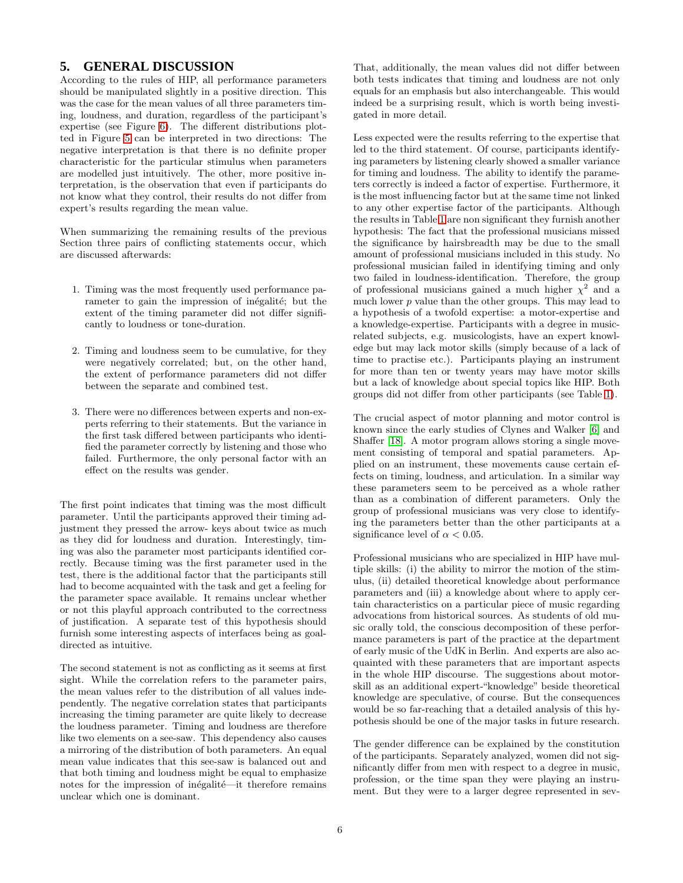## <span id="page-5-0"></span>**5. GENERAL DISCUSSION**

According to the rules of HIP, all performance parameters should be manipulated slightly in a positive direction. This was the case for the mean values of all three parameters timing, loudness, and duration, regardless of the participant's expertise (see Figure [6\)](#page-4-0). The different distributions plotted in Figure [5](#page-3-2) can be interpreted in two directions: The negative interpretation is that there is no definite proper characteristic for the particular stimulus when parameters are modelled just intuitively. The other, more positive interpretation, is the observation that even if participants do not know what they control, their results do not differ from expert's results regarding the mean value.

When summarizing the remaining results of the previous Section three pairs of conflicting statements occur, which are discussed afterwards:

- 1. Timing was the most frequently used performance parameter to gain the impression of inégalité; but the extent of the timing parameter did not differ significantly to loudness or tone-duration.
- 2. Timing and loudness seem to be cumulative, for they were negatively correlated; but, on the other hand, the extent of performance parameters did not differ between the separate and combined test.
- 3. There were no differences between experts and non-experts referring to their statements. But the variance in the first task differed between participants who identified the parameter correctly by listening and those who failed. Furthermore, the only personal factor with an effect on the results was gender.

The first point indicates that timing was the most difficult parameter. Until the participants approved their timing adjustment they pressed the arrow- keys about twice as much as they did for loudness and duration. Interestingly, timing was also the parameter most participants identified correctly. Because timing was the first parameter used in the test, there is the additional factor that the participants still had to become acquainted with the task and get a feeling for the parameter space available. It remains unclear whether or not this playful approach contributed to the correctness of justification. A separate test of this hypothesis should furnish some interesting aspects of interfaces being as goaldirected as intuitive.

The second statement is not as conflicting as it seems at first sight. While the correlation refers to the parameter pairs, the mean values refer to the distribution of all values independently. The negative correlation states that participants increasing the timing parameter are quite likely to decrease the loudness parameter. Timing and loudness are therefore like two elements on a see-saw. This dependency also causes a mirroring of the distribution of both parameters. An equal mean value indicates that this see-saw is balanced out and that both timing and loudness might be equal to emphasize notes for the impression of inégalité—it therefore remains unclear which one is dominant.

That, additionally, the mean values did not differ between both tests indicates that timing and loudness are not only equals for an emphasis but also interchangeable. This would indeed be a surprising result, which is worth being investigated in more detail.

Less expected were the results referring to the expertise that led to the third statement. Of course, participants identifying parameters by listening clearly showed a smaller variance for timing and loudness. The ability to identify the parameters correctly is indeed a factor of expertise. Furthermore, it is the most influencing factor but at the same time not linked to any other expertise factor of the participants. Although the results in Table [1](#page-3-1) are non significant they furnish another hypothesis: The fact that the professional musicians missed the significance by hairsbreadth may be due to the small amount of professional musicians included in this study. No professional musician failed in identifying timing and only two failed in loudness-identification. Therefore, the group of professional musicians gained a much higher  $\chi^2$  and a much lower  $p$  value than the other groups. This may lead to a hypothesis of a twofold expertise: a motor-expertise and a knowledge-expertise. Participants with a degree in musicrelated subjects, e.g. musicologists, have an expert knowledge but may lack motor skills (simply because of a lack of time to practise etc.). Participants playing an instrument for more than ten or twenty years may have motor skills but a lack of knowledge about special topics like HIP. Both groups did not differ from other participants (see Table [1\)](#page-3-1).

The crucial aspect of motor planning and motor control is known since the early studies of Clynes and Walker [\[6\]](#page-6-16) and Shaffer [\[18\]](#page-6-17). A motor program allows storing a single movement consisting of temporal and spatial parameters. Applied on an instrument, these movements cause certain effects on timing, loudness, and articulation. In a similar way these parameters seem to be perceived as a whole rather than as a combination of different parameters. Only the group of professional musicians was very close to identifying the parameters better than the other participants at a significance level of  $\alpha < 0.05$ .

Professional musicians who are specialized in HIP have multiple skills: (i) the ability to mirror the motion of the stimulus, (ii) detailed theoretical knowledge about performance parameters and (iii) a knowledge about where to apply certain characteristics on a particular piece of music regarding advocations from historical sources. As students of old music orally told, the conscious decomposition of these performance parameters is part of the practice at the department of early music of the UdK in Berlin. And experts are also acquainted with these parameters that are important aspects in the whole HIP discourse. The suggestions about motorskill as an additional expert-"knowledge" beside theoretical knowledge are speculative, of course. But the consequences would be so far-reaching that a detailed analysis of this hypothesis should be one of the major tasks in future research.

The gender difference can be explained by the constitution of the participants. Separately analyzed, women did not significantly differ from men with respect to a degree in music, profession, or the time span they were playing an instrument. But they were to a larger degree represented in sev